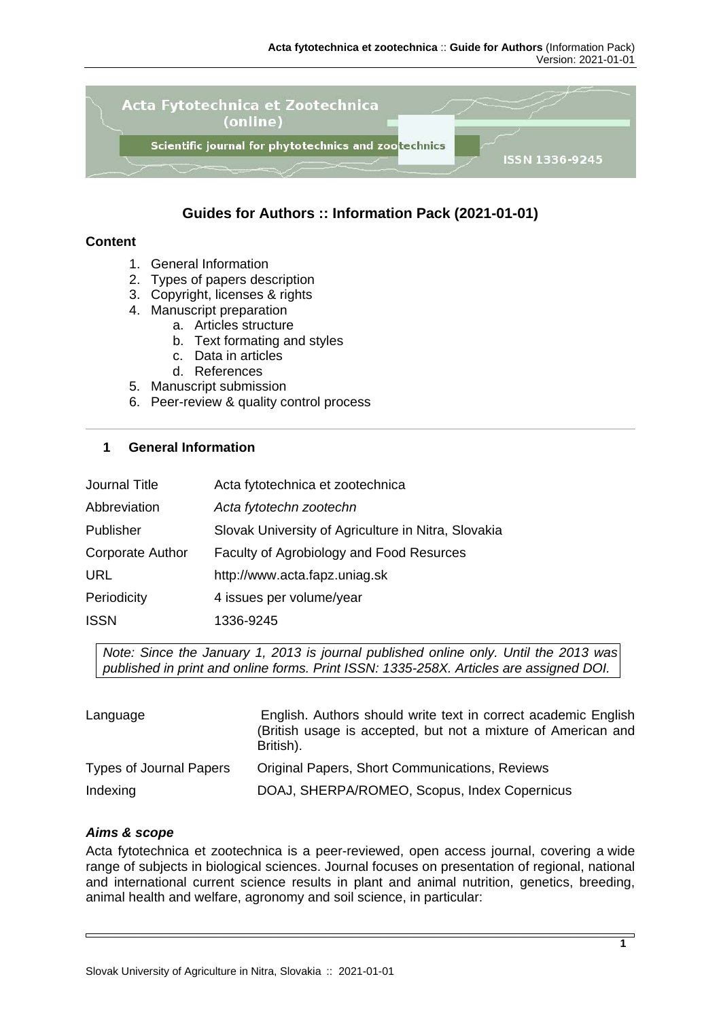

# **Guides for Authors :: Information Pack (2021-01-01)**

#### **Content**

- 1. General Information
- 2. Types of papers description
- 3. Copyright, licenses & rights
- 4. Manuscript preparation
	- a. Articles structure
	- b. Text formating and styles
	- c. Data in articles
	- d. References
- 5. Manuscript submission
- 6. Peer-review & quality control process

## **1 General Information**

| <b>Journal Title</b>    | Acta fytotechnica et zootechnica                    |
|-------------------------|-----------------------------------------------------|
| Abbreviation            | Acta fytotechn zootechn                             |
| Publisher               | Slovak University of Agriculture in Nitra, Slovakia |
| <b>Corporate Author</b> | Faculty of Agrobiology and Food Resurces            |
| <b>URL</b>              | http://www.acta.fapz.uniag.sk                       |
| Periodicity             | 4 issues per volume/year                            |
| <b>ISSN</b>             | 1336-9245                                           |

*Note: Since the January 1, 2013 is journal published online only. Until the 2013 was published in print and online forms. Print ISSN: 1335-258X. Articles are assigned DOI.*

| Language                       | English. Authors should write text in correct academic English<br>(British usage is accepted, but not a mixture of American and<br>British). |
|--------------------------------|----------------------------------------------------------------------------------------------------------------------------------------------|
| <b>Types of Journal Papers</b> | <b>Original Papers, Short Communications, Reviews</b>                                                                                        |
| Indexing                       | DOAJ, SHERPA/ROMEO, Scopus, Index Copernicus                                                                                                 |

#### *Aims & scope*

Acta fytotechnica et zootechnica is a peer-reviewed, open access journal, covering a wide range of subjects in biological sciences. Journal focuses on presentation of regional, national and international current science results in plant and animal nutrition, genetics, breeding, animal health and welfare, agronomy and soil science, in particular: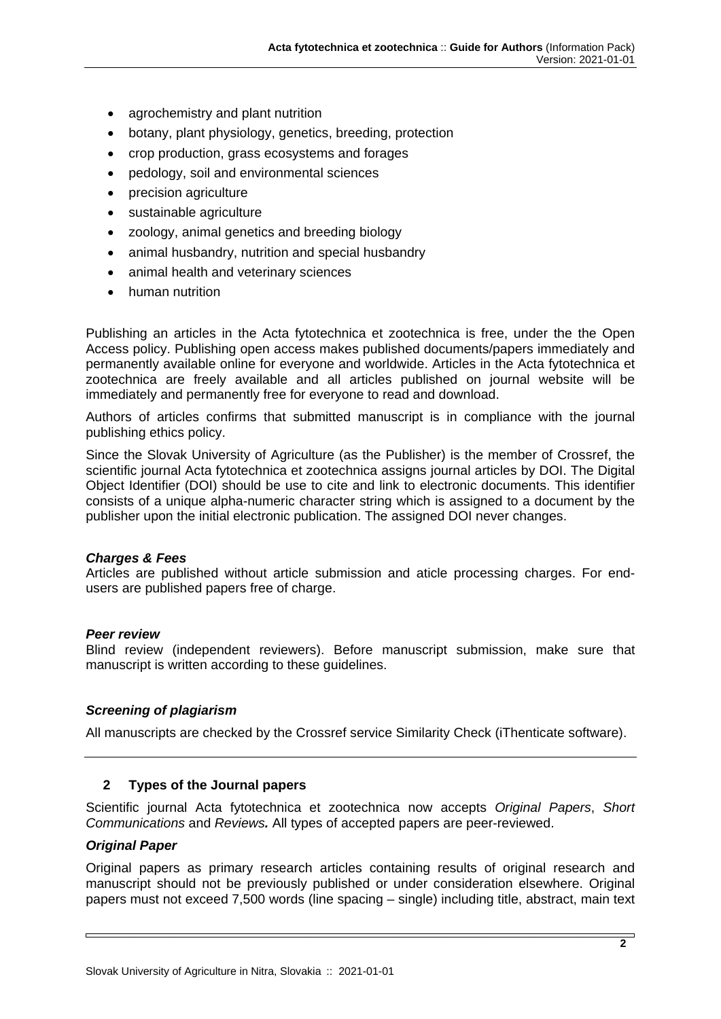- agrochemistry and plant nutrition
- botany, plant physiology, genetics, breeding, protection
- crop production, grass ecosystems and forages
- pedology, soil and environmental sciences
- precision agriculture
- sustainable agriculture
- zoology, animal genetics and breeding biology
- animal husbandry, nutrition and special husbandry
- animal health and veterinary sciences
- human nutrition

Publishing an articles in the Acta fytotechnica et zootechnica is free, under the the Open Access policy. Publishing open access makes published documents/papers immediately and permanently available online for everyone and worldwide. Articles in the Acta fytotechnica et zootechnica are freely available and all articles published on journal website will be immediately and permanently free for everyone to read and download.

Authors of articles confirms that submitted manuscript is in compliance with the journal publishing ethics policy.

Since the Slovak University of Agriculture (as the Publisher) is the member of Crossref, the scientific journal Acta fytotechnica et zootechnica assigns journal articles by DOI. The Digital Object Identifier (DOI) should be use to cite and link to electronic documents. This identifier consists of a unique alpha-numeric character string which is assigned to a document by the publisher upon the initial electronic publication. The assigned DOI never changes.

## *Charges & Fees*

Articles are published without article submission and aticle processing charges. For endusers are published papers free of charge.

## *Peer review*

Blind review (independent reviewers). Before manuscript submission, make sure that manuscript is written according to these guidelines.

## *Screening of plagiarism*

All manuscripts are checked by the Crossref service Similarity Check (iThenticate software).

## **2 Types of the Journal papers**

Scientific journal Acta fytotechnica et zootechnica now accepts *Original Papers*, *Short Communications* and *Reviews.* All types of accepted papers are peer-reviewed.

## *Original Paper*

Original papers as primary research articles containing results of original research and manuscript should not be previously published or under consideration elsewhere. Original papers must not exceed 7,500 words (line spacing – single) including title, abstract, main text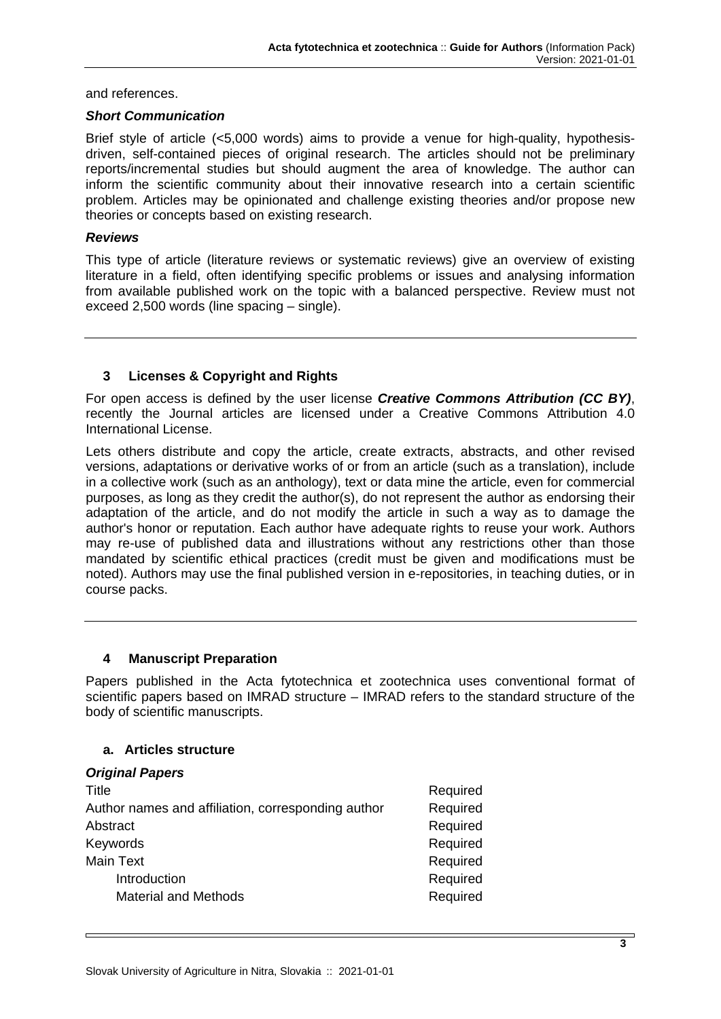and references.

#### *Short Communication*

Brief style of article (<5,000 words) aims to provide a venue for high-quality, hypothesisdriven, self-contained pieces of original research. The articles should not be preliminary reports/incremental studies but should augment the area of knowledge. The author can inform the scientific community about their innovative research into a certain scientific problem. Articles may be opinionated and challenge existing theories and/or propose new theories or concepts based on existing research.

#### *Reviews*

This type of article (literature reviews or systematic reviews) give an overview of existing literature in a field, often identifying specific problems or issues and analysing information from available published work on the topic with a balanced perspective. Review must not exceed 2,500 words (line spacing – single).

# **3 Licenses & Copyright and Rights**

For open access is defined by the user license *Creative Commons Attribution (CC BY)*, recently the Journal articles are licensed under a Creative Commons Attribution 4.0 International License.

Lets others distribute and copy the article, create extracts, abstracts, and other revised versions, adaptations or derivative works of or from an article (such as a translation), include in a collective work (such as an anthology), text or data mine the article, even for commercial purposes, as long as they credit the author(s), do not represent the author as endorsing their adaptation of the article, and do not modify the article in such a way as to damage the author's honor or reputation. Each author have adequate rights to reuse your work. Authors may re-use of published data and illustrations without any restrictions other than those mandated by scientific ethical practices (credit must be given and modifications must be noted). Authors may use the final published version in e-repositories, in teaching duties, or in course packs.

## **4 Manuscript Preparation**

Papers published in the Acta fytotechnica et zootechnica uses conventional format of scientific papers based on IMRAD structure – IMRAD refers to the standard structure of the body of scientific manuscripts.

## **a. Articles structure**

#### *Original Papers*

| Title                                              | Required |
|----------------------------------------------------|----------|
| Author names and affiliation, corresponding author | Required |
| Abstract                                           | Required |
| Keywords                                           | Required |
| Main Text                                          | Required |
| Introduction                                       | Required |
| <b>Material and Methods</b>                        | Required |
|                                                    |          |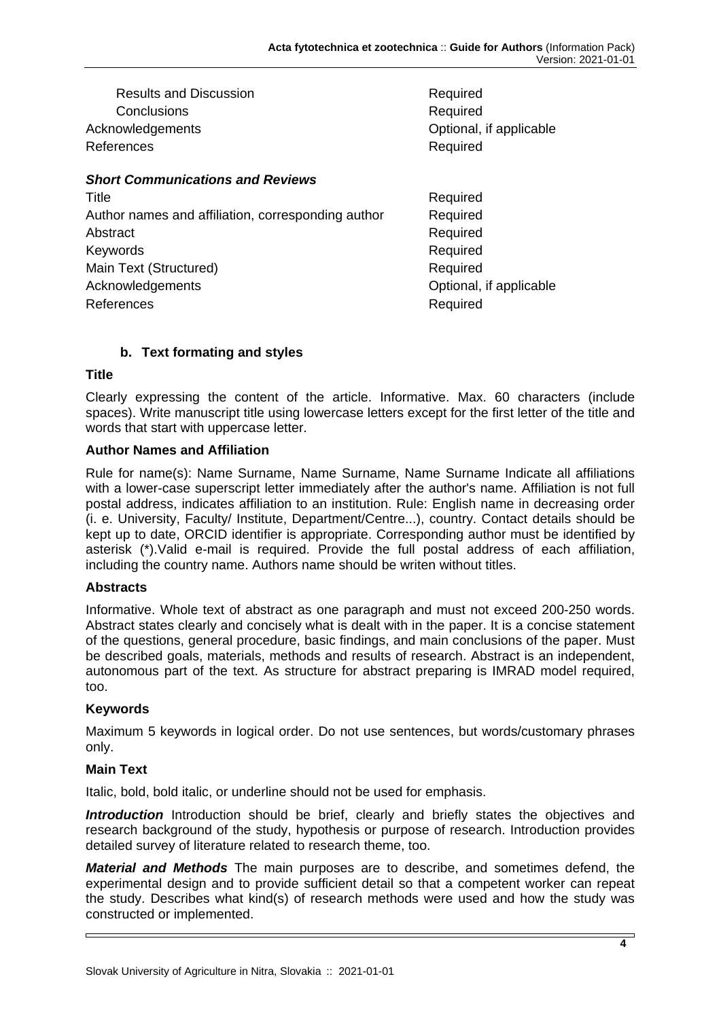| <b>Results and Discussion</b> |  |  |  |
|-------------------------------|--|--|--|
| Conclusions                   |  |  |  |
| Acknowledgements              |  |  |  |
| References                    |  |  |  |
|                               |  |  |  |

**Required** Required Optional, if applicable Required

# *Short Communications and Reviews*

| Title                                              | Required                |
|----------------------------------------------------|-------------------------|
| Author names and affiliation, corresponding author | Required                |
| Abstract                                           | Required                |
| Keywords                                           | Required                |
| Main Text (Structured)                             | Required                |
| Acknowledgements                                   | Optional, if applicable |
| References                                         | Required                |
|                                                    |                         |

# **b. Text formating and styles**

#### **Title**

Clearly expressing the content of the article. Informative. Max. 60 characters (include spaces). Write manuscript title using lowercase letters except for the first letter of the title and words that start with uppercase letter.

## **Author Names and Affiliation**

Rule for name(s): Name Surname, Name Surname, Name Surname Indicate all affiliations with a lower-case superscript letter immediately after the author's name. Affiliation is not full postal address, indicates affiliation to an institution. Rule: English name in decreasing order (i. e. University, Faculty/ Institute, Department/Centre...), country. Contact details should be kept up to date, ORCID identifier is appropriate. Corresponding author must be identified by asterisk (\*).Valid e-mail is required. Provide the full postal address of each affiliation, including the country name. Authors name should be writen without titles.

## **Abstracts**

Informative. Whole text of abstract as one paragraph and must not exceed 200-250 words. Abstract states clearly and concisely what is dealt with in the paper. It is a concise statement of the questions, general procedure, basic findings, and main conclusions of the paper. Must be described goals, materials, methods and results of research. Abstract is an independent, autonomous part of the text. As structure for abstract preparing is IMRAD model required, too.

## **Keywords**

Maximum 5 keywords in logical order. Do not use sentences, but words/customary phrases only.

## **Main Text**

Italic, bold, bold italic, or underline should not be used for emphasis.

**Introduction** Introduction should be brief, clearly and briefly states the objectives and research background of the study, hypothesis or purpose of research. Introduction provides detailed survey of literature related to research theme, too.

*Material and Methods* The main purposes are to describe, and sometimes defend, the experimental design and to provide sufficient detail so that a competent worker can repeat the study. Describes what kind(s) of research methods were used and how the study was constructed or implemented.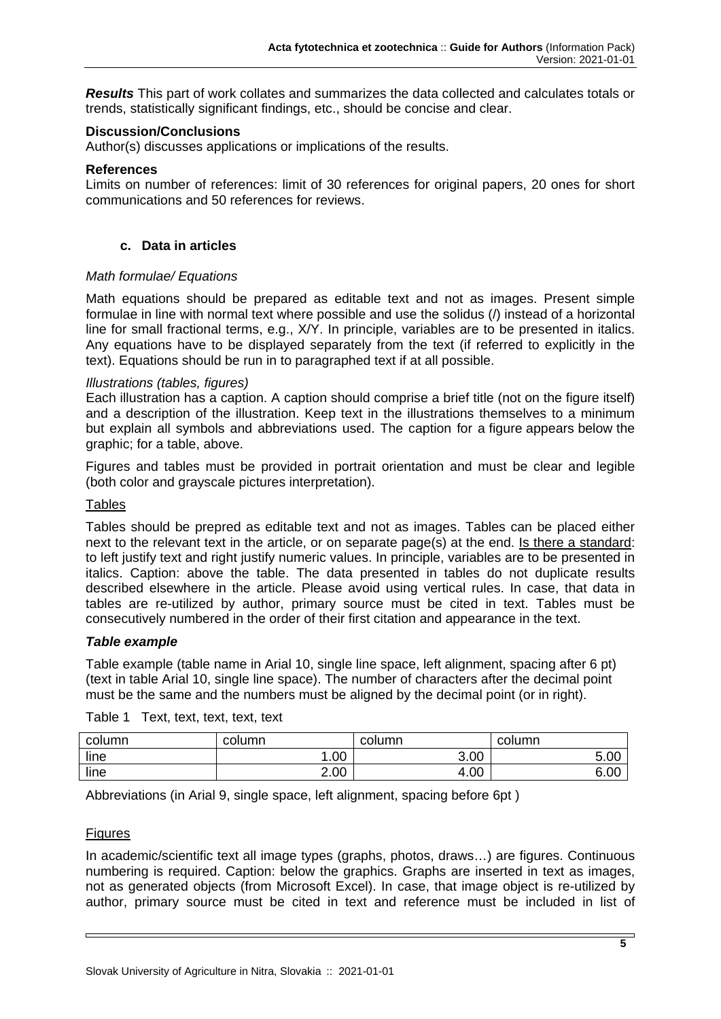*Results* This part of work collates and summarizes the data collected and calculates totals or trends, statistically significant findings, etc., should be concise and clear.

#### **Discussion/Conclusions**

Author(s) discusses applications or implications of the results.

#### **References**

Limits on number of references: limit of 30 references for original papers, 20 ones for short communications and 50 references for reviews.

#### **c. Data in articles**

#### *Math formulae/ Equations*

Math equations should be prepared as editable text and not as images. Present simple formulae in line with normal text where possible and use the solidus (/) instead of a horizontal line for small fractional terms, e.g., X/Y. In principle, variables are to be presented in italics. Any equations have to be displayed separately from the text (if referred to explicitly in the text). Equations should be run in to paragraphed text if at all possible.

#### *Illustrations (tables, figures)*

Each illustration has a caption. A caption should comprise a brief title (not on the figure itself) and a description of the illustration. Keep text in the illustrations themselves to a minimum but explain all symbols and abbreviations used. The caption for a figure appears below the graphic; for a table, above.

Figures and tables must be provided in portrait orientation and must be clear and legible (both color and grayscale pictures interpretation).

#### Tables

Tables should be prepred as editable text and not as images. Tables can be placed either next to the relevant text in the article, or on separate page(s) at the end. Is there a standard: to left justify text and right justify numeric values. In principle, variables are to be presented in italics. Caption: above the table. The data presented in tables do not duplicate results described elsewhere in the article. Please avoid using vertical rules. In case, that data in tables are re-utilized by author, primary source must be cited in text. Tables must be consecutively numbered in the order of their first citation and appearance in the text.

#### *Table example*

Table example (table name in Arial 10, single line space, left alignment, spacing after 6 pt) (text in table Arial 10, single line space). The number of characters after the decimal point must be the same and the numbers must be aligned by the decimal point (or in right).

| column | column | column | column |
|--------|--------|--------|--------|
| line   | .00    | 3.00   | 5.00   |
| line   | 2.00   | 4.00   | 6.00   |

Table 1 Text, text, text, text, text

Abbreviations (in Arial 9, single space, left alignment, spacing before 6pt )

#### **Figures**

In academic/scientific text all image types (graphs, photos, draws…) are figures. Continuous numbering is required. Caption: below the graphics. Graphs are inserted in text as images, not as generated objects (from Microsoft Excel). In case, that image object is re-utilized by author, primary source must be cited in text and reference must be included in list of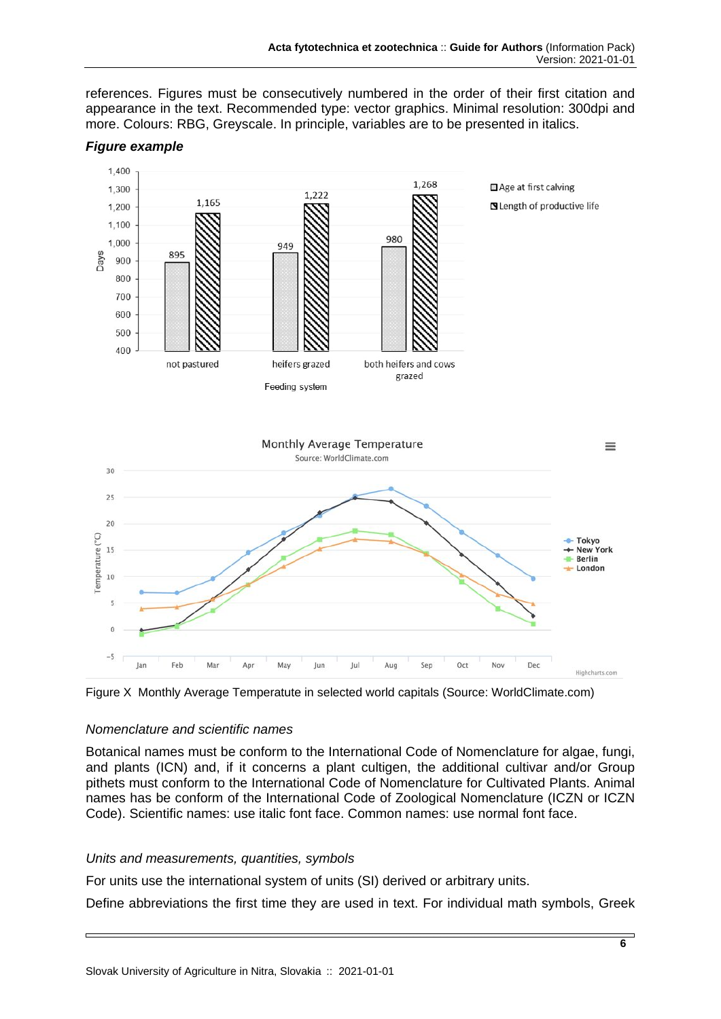references. Figures must be consecutively numbered in the order of their first citation and appearance in the text. Recommended type: vector graphics. Minimal resolution: 300dpi and more. Colours: RBG, Greyscale. In principle, variables are to be presented in italics.



#### *Figure example*

Figure X Monthly Average Temperatute in selected world capitals (Source: WorldClimate.com)

#### *Nomenclature and scientific names*

Botanical names must be conform to the International Code of Nomenclature for algae, fungi, and plants (ICN) and, if it concerns a plant cultigen, the additional cultivar and/or Group pithets must conform to the International Code of Nomenclature for Cultivated Plants. Animal names has be conform of the International Code of Zoological Nomenclature (ICZN or ICZN Code). Scientific names: use italic font face. Common names: use normal font face.

#### *Units and measurements, quantities, symbols*

For units use the international system of units (SI) derived or arbitrary units.

Define abbreviations the first time they are used in text. For individual math symbols, Greek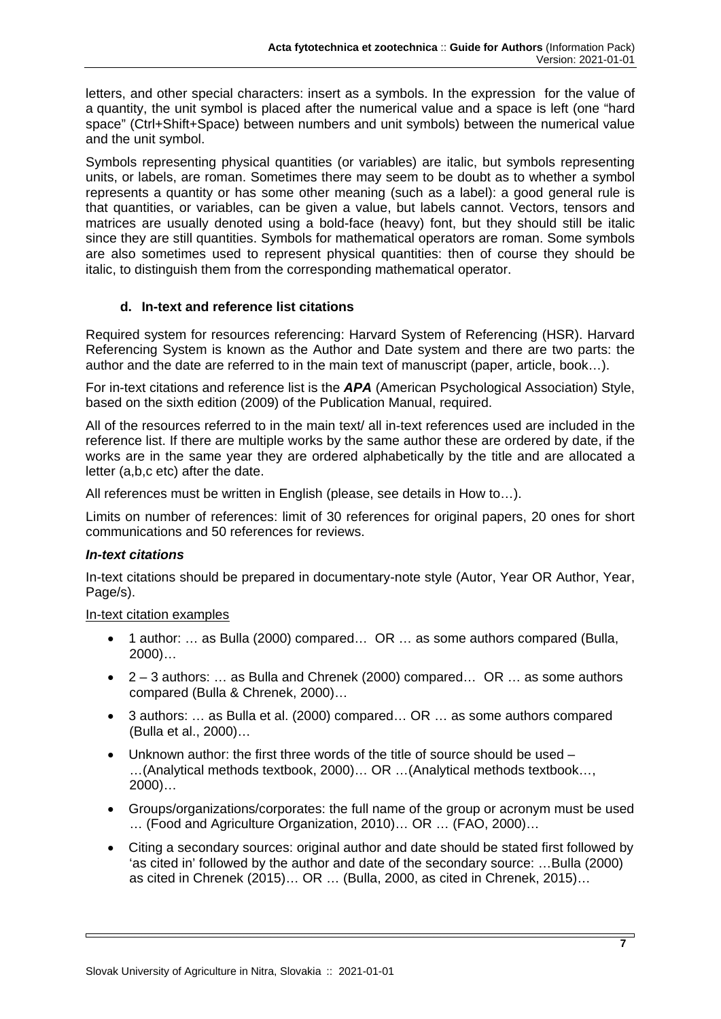letters, and other special characters: insert as a symbols. In the expression for the value of a quantity, the unit symbol is placed after the numerical value and a space is left (one "hard space" (Ctrl+Shift+Space) between numbers and unit symbols) between the numerical value and the unit symbol.

Symbols representing physical quantities (or variables) are italic, but symbols representing units, or labels, are roman. Sometimes there may seem to be doubt as to whether a symbol represents a quantity or has some other meaning (such as a label): a good general rule is that quantities, or variables, can be given a value, but labels cannot. Vectors, tensors and matrices are usually denoted using a bold-face (heavy) font, but they should still be italic since they are still quantities. Symbols for mathematical operators are roman. Some symbols are also sometimes used to represent physical quantities: then of course they should be italic, to distinguish them from the corresponding mathematical operator.

# **d. In-text and reference list citations**

Required system for resources referencing: Harvard System of Referencing (HSR). Harvard Referencing System is known as the Author and Date system and there are two parts: the author and the date are referred to in the main text of manuscript (paper, article, book…).

For in-text citations and reference list is the *APA* (American Psychological Association) Style, based on the sixth edition (2009) of the Publication Manual, required.

All of the resources referred to in the main text/ all in-text references used are included in the reference list. If there are multiple works by the same author these are ordered by date, if the works are in the same year they are ordered alphabetically by the title and are allocated a letter (a,b,c etc) after the date.

All references must be written in English (please, see details in How to…).

Limits on number of references: limit of 30 references for original papers, 20 ones for short communications and 50 references for reviews.

## *In-text citations*

In-text citations should be prepared in documentary-note style (Autor, Year OR Author, Year, Page/s).

## In-text citation examples

- 1 author: … as Bulla (2000) compared… OR … as some authors compared (Bulla, 2000)…
- 2 3 authors: … as Bulla and Chrenek (2000) compared… OR … as some authors compared (Bulla & Chrenek, 2000)…
- 3 authors: … as Bulla et al. (2000) compared… OR … as some authors compared (Bulla et al., 2000)…
- Unknown author: the first three words of the title of source should be used …(Analytical methods textbook, 2000)… OR …(Analytical methods textbook…, 2000)…
- Groups/organizations/corporates: the full name of the group or acronym must be used … (Food and Agriculture Organization, 2010)… OR … (FAO, 2000)…
- Citing a secondary sources: original author and date should be stated first followed by 'as cited in' followed by the author and date of the secondary source: …Bulla (2000) as cited in Chrenek (2015)… OR … (Bulla, 2000, as cited in Chrenek, 2015)…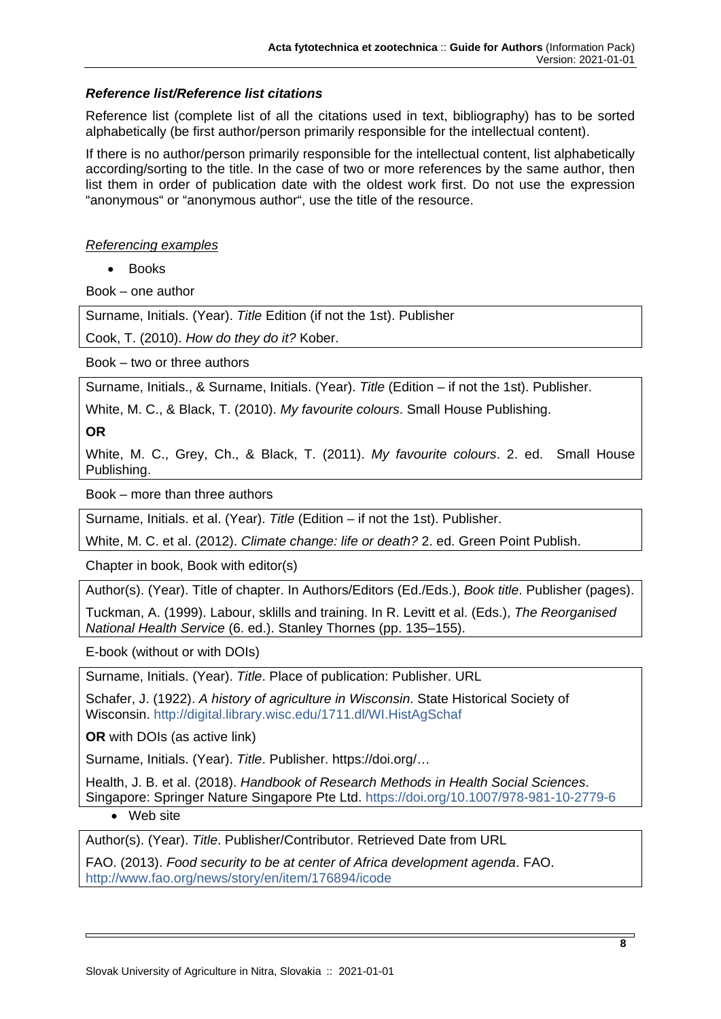# *Reference list/Reference list citations*

Reference list (complete list of all the citations used in text, bibliography) has to be sorted alphabetically (be first author/person primarily responsible for the intellectual content).

If there is no author/person primarily responsible for the intellectual content, list alphabetically according/sorting to the title. In the case of two or more references by the same author, then list them in order of publication date with the oldest work first. Do not use the expression "anonymous" or "anonymous author", use the title of the resource.

## *Referencing examples*

• Books

Book – one author

Surname, Initials. (Year). *Title* Edition (if not the 1st). Publisher

Cook, T. (2010). *How do they do it?* Kober.

Book – two or three authors

Surname, Initials., & Surname, Initials. (Year). *Title* (Edition – if not the 1st). Publisher.

White, M. C., & Black, T. (2010). *My favourite colours*. Small House Publishing.

**OR**

White, M. C., Grey, Ch., & Black, T. (2011). *My favourite colours*. 2. ed. Small House Publishing.

Book – more than three authors

Surname, Initials. et al. (Year). *Title* (Edition – if not the 1st). Publisher.

White, M. C. et al. (2012). *Climate change: life or death?* 2. ed. Green Point Publish.

Chapter in book, Book with editor(s)

Author(s). (Year). Title of chapter. In Authors/Editors (Ed./Eds.), *Book title*. Publisher (pages).

Tuckman, A. (1999). Labour, sklills and training. In R. Levitt et al. (Eds.), *The Reorganised National Health Service* (6. ed.). Stanley Thornes (pp. 135–155).

E-book (without or with DOIs)

Surname, Initials. (Year). *Title*. Place of publication: Publisher. URL

Schafer, J. (1922). *A history of agriculture in Wisconsin*. State Historical Society of Wisconsin.<http://digital.library.wisc.edu/1711.dl/WI.HistAgSchaf>

**OR** with DOIs (as active link)

Surname, Initials. (Year). *Title*. Publisher. https://doi.org/…

Health, J. B. et al. (2018). *Handbook of Research Methods in Health Social Sciences*. Singapore: Springer Nature Singapore Pte Ltd.<https://doi.org/10.1007/978-981-10-2779-6>

• Web site

Author(s). (Year). *Title*. Publisher/Contributor. Retrieved Date from URL

FAO. (2013). *Food security to be at center of Africa development agenda*. FAO. <http://www.fao.org/news/story/en/item/176894/icode>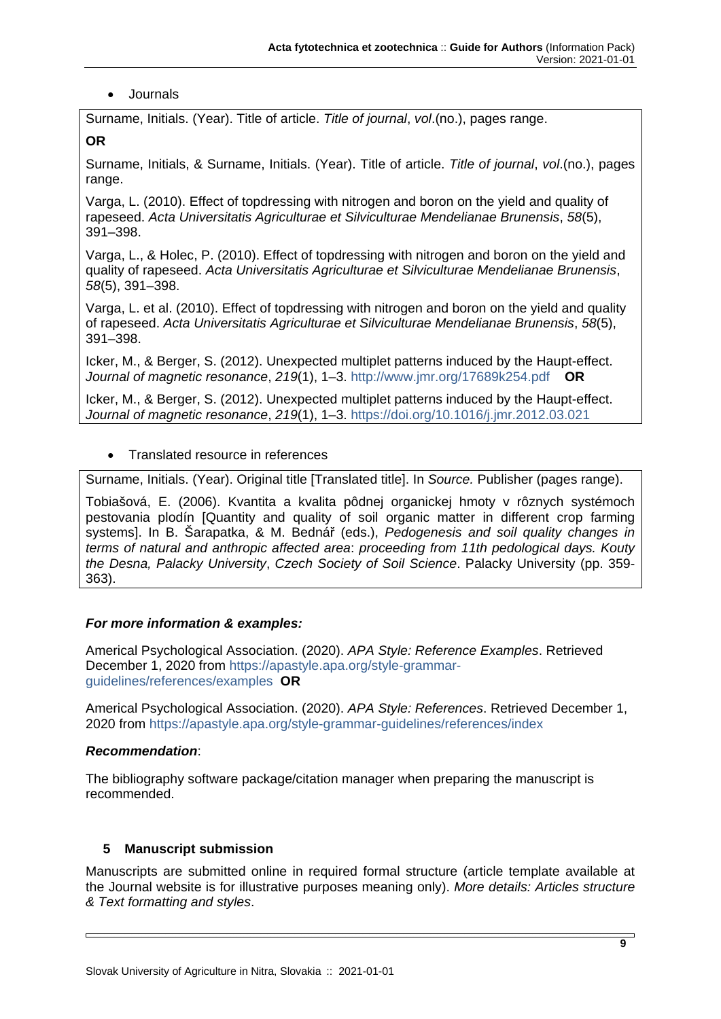# • Journals

Surname, Initials. (Year). Title of article. *Title of journal*, *vol*.(no.), pages range.

**OR**

Surname, Initials, & Surname, Initials. (Year). Title of article. *Title of journal*, *vol*.(no.), pages range.

Varga, L. (2010). Effect of topdressing with nitrogen and boron on the yield and quality of rapeseed. *Acta Universitatis Agriculturae et Silviculturae Mendelianae Brunensis*, *58*(5), 391–398.

Varga, L., & Holec, P. (2010). Effect of topdressing with nitrogen and boron on the yield and quality of rapeseed. *Acta Universitatis Agriculturae et Silviculturae Mendelianae Brunensis*, *58*(5), 391–398.

Varga, L. et al. (2010). Effect of topdressing with nitrogen and boron on the yield and quality of rapeseed. *Acta Universitatis Agriculturae et Silviculturae Mendelianae Brunensis*, *58*(5), 391–398.

Icker, M., & Berger, S. (2012). Unexpected multiplet patterns induced by the Haupt-effect. *Journal of magnetic resonance*, *219*(1), 1–3.<http://www.jmr.org/17689k254.pdf>**OR**

Icker, M., & Berger, S. (2012). Unexpected multiplet patterns induced by the Haupt-effect. *Journal of magnetic resonance*, *219*(1), 1–3. [https://doi.org/10.1016/j.jmr.2012.03.021](http://dx.doi.org/10.1016/j.jmr.2012.03.021)

# • Translated resource in references

Surname, Initials. (Year). Original title [Translated title]. In *Source.* Publisher (pages range).

Tobiašová, E. (2006). Kvantita a kvalita pôdnej organickej hmoty v rôznych systémoch pestovania plodín [Quantity and quality of soil organic matter in different crop farming systems]. In B. Šarapatka, & M. Bednář (eds.), *Pedogenesis and soil quality changes in terms of natural and anthropic affected area*: *proceeding from 11th pedological days. Kouty the Desna, Palacky University*, *Czech Society of Soil Science*. Palacky University (pp. 359- 363).

## *For more information & examples:*

Americal Psychological Association. (2020). *APA Style: Reference Examples*. Retrieved December 1, 2020 from [https://apastyle.apa.org/style-grammar](https://apastyle.apa.org/style-grammar-guidelines/references/examples)[guidelines/references/examples](https://apastyle.apa.org/style-grammar-guidelines/references/examples) **OR**

Americal Psychological Association. (2020). *APA Style: References*. Retrieved December 1, 2020 from<https://apastyle.apa.org/style-grammar-guidelines/references/index>

## *Recommendation*:

The bibliography software package/citation manager when preparing the manuscript is recommended.

## **5 Manuscript submission**

Manuscripts are submitted online in required formal structure (article template available at the Journal website is for illustrative purposes meaning only). *More details: Articles structure & Text formatting and styles*.